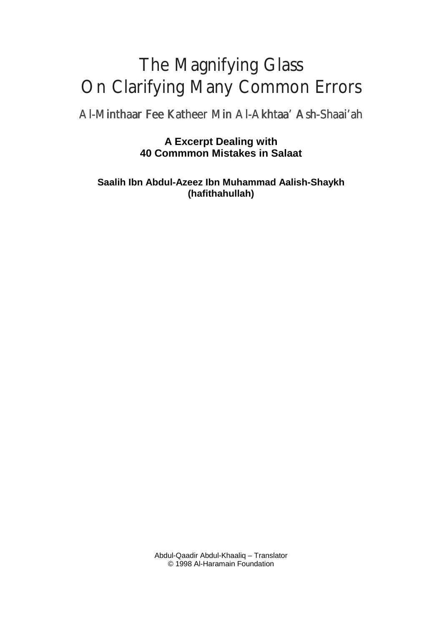## The Magnifying Glass On Clarifying Many Common Errors

Al-Minthaar Fee Katheer Min Al-Akhtaa' Ash-Shaai'ah

**A Excerpt Dealing with 40 Commmon Mistakes in Salaat**

**Saalih Ibn Abdul-Azeez Ibn Muhammad Aalish-Shaykh (hafithahullah)**

> Abdul-Qaadir Abdul-Khaaliq – Translator © 1998 Al-Haramain Foundation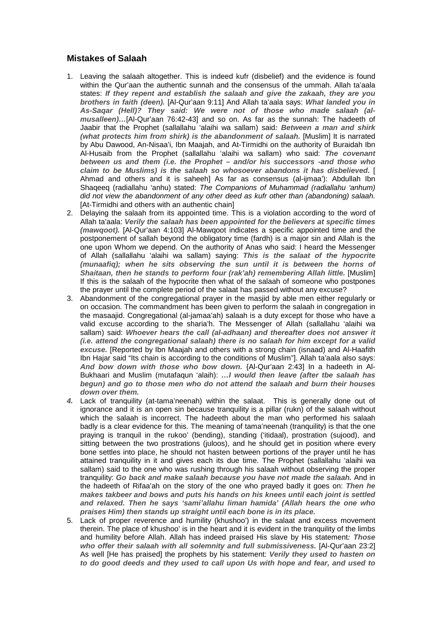## **Mistakes of Salaah**

- 1. Leaving the salaah altogether. This is indeed kufr (disbelief) and the evidence is found within the Qur'aan the authentic sunnah and the consensus of the ummah. Allah ta'aala states: **If they repent and establish the salaah and give the zakaah, they are you brothers in faith (deen).** [Al-Qur'aan 9:11] And Allah ta'aala says: **What landed you in As-Saqar (Hell)? They said: We were not of those who made salaah (almusalleen)…**[Al-Qur'aan 76:42-43] and so on. As far as the sunnah: The hadeeth of Jaabir that the Prophet (sallallahu 'alaihi wa sallam) said**: Between a man and shirk (what protects him from shirk) is the abandonment of salaah.** [Muslim] It is narrated by Abu Dawood, An-Nisaa'i, Ibn Maajah, and At-Tirmidhi on the authority of Buraidah Ibn Al-Husaib from the Prophet (sallallahu 'alaihi wa sallam) who said: **The covenant between us and them (i.e. the Prophet – and/or his successors -and those who claim to be Muslims) is the salaah so whosoever abandons it has disbelieved.** [ Ahmad and others and it is saheeh] As far as consensus (al-ijmaa'): Abdullah Ibn Shaqeeq (radiallahu 'anhu) stated: The Companions of Muhammad (radiallahu 'anhum) did not view the abandonment of any other deed as kufr other than (abandoning) salaah. [At-Tirmidhi and others with an authentic chain]
- 2. Delaying the salaah from its appointed time. This is a violation according to the word of Allah ta'aala: **Verily the salaah has been appointed for the believers at specific times (mawqoot).** [Al-Qur'aan 4:103] Al-Mawqoot indicates a specific appointed time and the postponement of sallah beyond the obligatory time (fardh) is a major sin and Allah is the one upon Whom we depend. On the authority of Anas who said: I heard the Messenger of Allah (sallallahu 'alaihi wa sallam) saying: **This is the salaat of the hypocrite (munaafiq); when he sits observing the sun until it is between the horns of Shaitaan, then he stands to perform four (rak'ah) remembering Allah little.** [Muslim] If this is the salaah of the hypocrite then what of the salaah of someone who postpones the prayer until the complete period of the salaat has passed without any excuse?
- 3. Abandonment of the congregational prayer in the masjid by able men either regularly or on occasion. The commandment has been given to perform the salaah in congregation in the masaajid. Congregational (al-jamaa'ah) salaah is a duty except for those who have a valid excuse according to the sharia'h. The Messenger of Allah (sallallahu 'alaihi wa sallam) said: **Whoever hears the call (al-adhaan) and thereafter does not answer it (i.e. attend the congregational salaah) there is no salaah for him except for a valid excuse.** [Reported by Ibn Maajah and others with a strong chain (isnaad) and Al-Haafith Ibn Hajar said "Its chain is according to the conditions of Muslim"]. Allah ta'aala also says: **And bow down with those who bow down.** {Al-Qur'aan 2:43] In a hadeeth in Al-Bukhaari and Muslim (mutafaqun 'alaih): **…I would then leave (after tbe salaah has begun) and go to those men who do not attend the salaah and burn their houses down over them.**
- *4***.** Lack of tranquility (at-tama'neenah) within the salaat. This is generally done out of ignorance and it is an open sin because tranquility is a pillar (rukn) of the salaah without which the salaah is incorrect. The hadeeth about the man who performed his salaah badly is a clear evidence for this. The meaning of tama'neenah (tranquility) is that the one praying is tranquil in the rukoo' (bending), standing ('itidaal), prostration (sujood), and sitting between the two prostrations (juloos), and he should get in position where every bone settles into place, he should not hasten between portions of the prayer until he has attained tranquility in it and gives each its due time. The Prophet (sallallahu 'alaihi wa sallam) said to the one who was rushing through his salaah without observing the proper tranquility: **Go back and make salaah because you have not made the salaah.** And in the hadeeth of Rifaa'ah on the story of the one who prayed badly it goes on: **Then he makes takbeer and bows and puts his hands on his knees until each joint is settled and relaxed. Then he says 'sami'allahu liman hamida' (Allah hears the one who praises Him) then stands up straight until each bone is in its place.**
- 5. Lack of proper reverence and humility (khushoo') in the salaat and excess movement therein. The place of khushoo' is in the heart and it is evident in the tranquility of the limbs and humility before Allah. Allah has indeed praised His slave by His statement**: Those who offer their salaah with all solemnity and full submissiveness.** [Al-Qur'aan 23:2] As well [He has praised] the prophets by his statement: **Verily they used to hasten on to do good deeds and they used to call upon Us with hope and fear, and used to**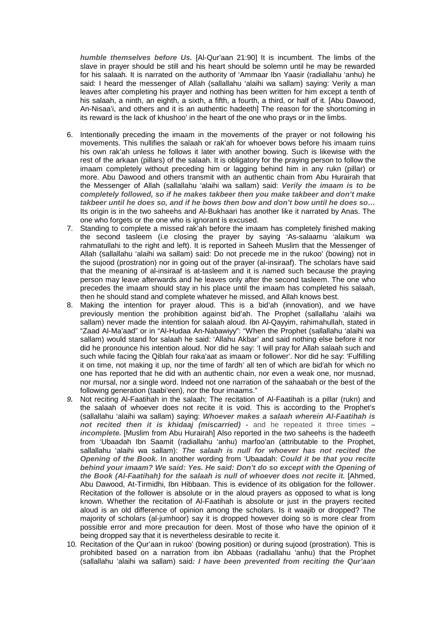**humble themselves before Us.** [Al-Qur'aan 21:90] It is incumbent. The limbs of the slave in prayer should be still and his heart should be solemn until he may be rewarded for his salaah. It is narrated on the authority of 'Ammaar Ibn Yaasir (radiallahu 'anhu) he said: I heard the messenger of Allah (sallallahu 'alaihi wa sallam) saying: Verily a man leaves after completing his prayer and nothing has been written for him except a tenth of his salaah, a ninth, an eighth, a sixth, a fifth, a fourth, a third, or half of it. [Abu Dawood, An-Nisaa'i, and others and it is an authentic hadeeth] The reason for the shortcoming in its reward is the lack of khushoo' in the heart of the one who prays or in the limbs.

- 6. Intentionally preceding the imaam in the movements of the prayer or not following his movements. This nullifies the salaah or rak'ah for whoever bows before his imaam ruins his own rak'ah unless he follows it later with another bowing. Such is likewise with the rest of the arkaan (pillars) of the salaah. It is obligatory for the praying person to follow the imaam completely without preceding him or lagging behind him in any rukn (pillar) or more. Abu Dawood and others transmit with an authentic chain from Abu Hurairah that the Messenger of Allah (sallallahu 'alaihi wa sallam) said: **Verily the imaam is to be completely followed, so if he makes takbeer then you make takbeer and don't make takbeer until he does so, and if he bows then bow and don't bow until he does so…** Its origin is in the two saheehs and Al-Bukhaari has another like it narrated by Anas. The one who forgets or the one who is ignorant is excused.
- 7. Standing to complete a missed rak'ah before the imaam has completely finished making the second tasleem (i.e closing the prayer by saying 'As-salaamu 'alaikum wa rahmatullahi to the right and left). It is reported in Saheeh Muslim that the Messenger of Allah (sallallahu 'alaihi wa sallam) said: Do not precede me in the rukoo' (bowing) not in the sujood (prostration) nor in going out of the prayer (al-insiraaf). The scholars have said that the meaning of al-insiraaf is at-tasleem and it is named such because the praying person may leave afterwards and he leaves only after the second tasleem. The one who precedes the imaam should stay in his place until the imaam has completed his salaah, then he should stand and complete whatever he missed, and Allah knows best.
- 8. Making the intention for prayer aloud. This is a bid'ah (innovation), and we have previously mention the prohibition against bid'ah. The Prophet (sallallahu 'alaihi wa sallam) never made the intention for salaah aloud. Ibn Al-Qayyim, rahimahullah, stated in "Zaad Al-Ma'aad" or in "Al-Hudaa An-Nabawiyy": "When the Prophet (sallallahu 'alaihi wa sallam) would stand for salaah he said: 'Allahu Akbar' and said nothing else before it nor did he pronounce his intention aloud. Nor did he say: 'I will pray for Allah salaah such and such while facing the Qiblah four raka'aat as imaam or follower'. Nor did he say: 'Fulfilling it on time, not making it up, nor the time of fardh' all ten of which are bid'ah for which no one has reported that he did with an authentic chain, nor even a weak one, nor musnad, nor mursal, nor a single word. Indeed not one narration of the sahaabah or the best of the following generation (taabi'een), nor the four imaams."
- *9***.** Not reciting Al-Faatihah in the salaah; The recitation of Al-Faatihah is a pillar (rukn) and the salaah of whoever does not recite it is void. This is according to the Prophet's (sallallahu 'alaihi wa sallam) saying: **Whoever makes a salaah wherein Al-Faatihah is not recited then it is khidaaj (miscarried) -** and he repeated it three times **– incomplete.** [Muslim from Abu Hurairah] Also reported in the two saheehs is the hadeeth from 'Ubaadah Ibn Saamit (radiallahu 'anhu) marfoo'an (attributable to the Prophet, sallallahu 'alaihi wa sallam): **The salaah is null for whoever has not recited the Opening of the Book.** In another wording from 'Ubaadah: **Could it be that you recite behind your imaam? We said: Yes. He said: Don't do so except with the Opening of the Book (Al-Faatihah) for the salaah is null of whoever does not recite it.** [Ahmed, Abu Dawood, At-Tirmidhi, Ibn Hibbaan. This is evidence of its obligation for the follower. Recitation of the follower is absolute or in the aloud prayers as opposed to what is long known. Whether the recitation of Al-Faatihah is absolute or just in the prayers recited aloud is an old difference of opinion among the scholars. Is it waajib or dropped? The majority of scholars (al-jumhoor) say it is dropped however doing so is more clear from possible error and more precaution for deen. Most of those who have the opinion of it being dropped say that it is nevertheless desirable to recite it.
- 10. Recitation of the Qur'aan in rukoo' (bowing position) or during sujood (prostration). This is prohibited based on a narration from ibn Abbaas (radiallahu 'anhu) that the Prophet (sallallahu 'alaihi wa sallam) said**: I have been prevented from reciting the Qur'aan**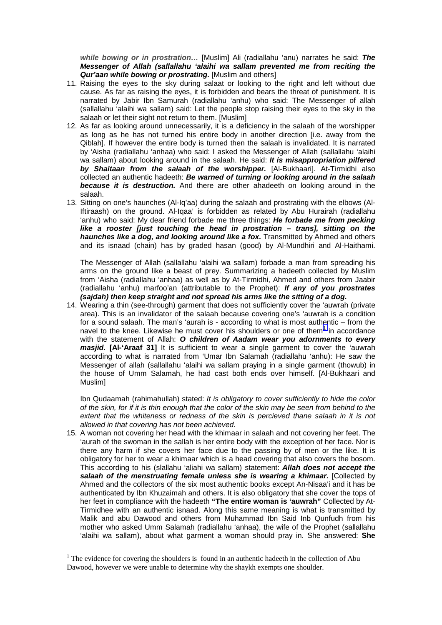**while bowing or in prostration…** [Muslim] Ali (radiallahu 'anu) narrates he said: **The Messenger of Allah (sallallahu 'alaihi wa sallam prevented me from reciting the Qur'aan while bowing or prostrating.** [Muslim and others]

- 11. Raising the eyes to the sky during salaat or looking to the right and left without due cause. As far as raising the eyes, it is forbidden and bears the threat of punishment. It is narrated by Jabir Ibn Samurah (radiallahu 'anhu) who said: The Messenger of allah (sallallahu 'alaihi wa sallam) said: Let the people stop raising their eyes to the sky in the salaah or let their sight not return to them. [Muslim]
- 12. As far as looking around unnecessarily, it is a deficiency in the salaah of the worshipper as long as he has not turned his entire body in another direction [i.e. away from the Qiblah]. If however the entire body is turned then the salaah is invalidated. It is narrated by 'Aisha (radiallahu 'anhaa) who said: I asked the Messenger of Allah (sallallahu 'alaihi wa sallam) about looking around in the salaah. He said: **It is misappropriation pilfered by Shaitaan from the salaah of the worshipper.** [Al-Bukhaari]. At-Tirmidhi also collected an authentic hadeeth: **Be warned of turning or looking around in the salaah because it is destruction.** And there are other ahadeeth on looking around in the salaah.
- 13. Sitting on one's haunches (Al-Iq'aa) during the salaah and prostrating with the elbows (Al-Iftiraash) on the ground. Al-Iqaa' is forbidden as related by Abu Hurairah (radiallahu 'anhu) who said: My dear friend forbade me three things: **He forbade me from pecking like a rooster [just touching the head in prostration – trans], sitting on the haunches like a dog, and looking around like a fox.** Transmitted by Ahmed and others and its isnaad (chain) has by graded hasan (good) by Al-Mundhiri and Al-Haithami.

The Messenger of Allah (sallallahu 'alaihi wa sallam) forbade a man from spreading his arms on the ground like a beast of prey. Summarizing a hadeeth collected by Muslim from 'Aisha (radiallahu 'anhaa) as well as by At-Tirmidhi, Ahmed and others from Jaabir (radiallahu 'anhu) marfoo'an (attributable to the Prophet): **If any of you prostrates (sajdah) then keep straight and not spread his arms like the sitting of a dog.**

14. Wearing a thin (see-through) garment that does not sufficiently cover the 'auwrah (private area). This is an invalidator of the salaah because covering one's 'auwrah is a condition for a sound salaah. The man's 'aurah is - according to what is most authentic – from the navel to the knee. Likewise he must cover his shoulders or one of them $1$  in accordance with the statement of Allah: **O children of Aadam wear you adornments to every masjid. [Al-'Araaf 31]** It is sufficient to wear a single garment to cover the 'auwrah according to what is narrated from 'Umar Ibn Salamah (radiallahu 'anhu): He saw the Messenger of allah (sallallahu 'alaihi wa sallam praying in a single garment (thowub) in the house of Umm Salamah, he had cast both ends over himself. [Al-Bukhaari and Muslim]

Ibn Qudaamah (rahimahullah) stated: It is obligatory to cover sufficiently to hide the color of the skin, for if it is thin enough that the color of the skin may be seen from behind to the extent that the whiteness or redness of the skin is percieved thane salaah in it is not allowed in that covering has not been achieved.

15. A woman not covering her head with the khimaar in salaah and not covering her feet. The 'aurah of the swoman in the sallah is her entire body with the exception of her face. Nor is there any harm if she covers her face due to the passing by of men or the like. It is obligatory for her to wear a khimaar which is a head covering that also covers the bosom. This according to his (slallahu 'aliahi wa sallam) statement: **Allah does not accept the salaah of the menstruating female unless she is wearing a khimaar.** [Collected by Ahmed and the collectors of the six most authentic books except An-Nisaa'i and it has be authenticated by Ibn Khuzaimah and others. It is also obligatory that she cover the tops of her feet in compliance with the hadeeth **"The entire woman is 'auwrah"** Collected by At-Tirmidhee with an authentic isnaad. Along this same meaning is what is transmitted by Malik and abu Dawood and others from Muhammad Ibn Said Inb Qunfudh from his mother who asked Umm Salamah (radiallahu 'anhaa), the wife of the Prophet (sallallahu 'alaihi wa sallam), about what garment a woman should pray in. She answered: **She**

<sup>&</sup>lt;sup>1</sup> The evidence for covering the shoulders is found in an authentic hadeeth in the collection of Abu Dawood, however we were unable to determine why the shaykh exempts one shoulder.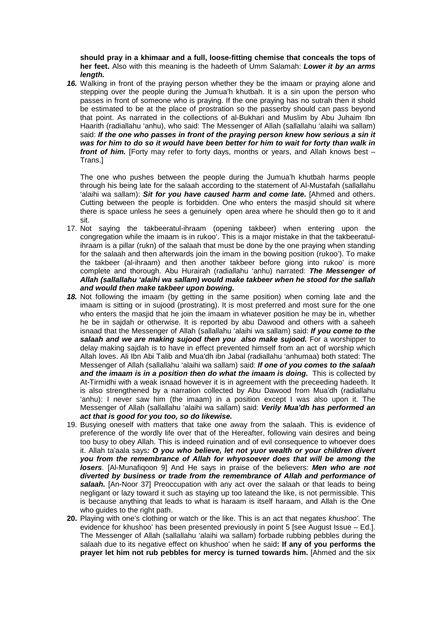**should pray in a khimaar and a full, loose-fitting chemise that conceals the tops of her feet.** Also with this meaning is the hadeeth of Umm Salamah: **Lower it by an arms length.**

*16***.** Walking in front of the praying person whether they be the imaam or praying alone and stepping over the people during the Jumua'h khutbah. It is a sin upon the person who passes in front of someone who is praying. If the one praying has no sutrah then it shold be estimated to be at the place of prostration so the passerby should can pass beyond that point. As narrated in the collections of al-Bukhari and Muslim by Abu Juhaim Ibn Haarith (radiallahu 'anhu), who said: The Messenger of Allah (sallallahu 'alaihi wa sallam) said: **If the one who passes in front of the praying person knew how serious a sin it was for him to do so it would have been better for him to wait for forty than walk in front of him.** [Forty may refer to forty days, months or years, and Allah knows best – Trans.]

The one who pushes between the people during the Jumua'h khutbah harms people through his being late for the salaah according to the statement of Al-Mustafah (sallallahu 'alaihi wa sallam): **Sit for you have caused harm and come late.** [Ahmed and others. Cutting between the people is forbidden. One who enters the masjid should sit where there is space unless he sees a genuinely open area where he should then go to it and sit.

- 17. Not saying the takbeeratul-ihraam (opening takbeer) when entering upon the congregation while the imaam is in rukoo'. This is a major mistake in that the takbeeratulihraam is a pillar (rukn) of the salaah that must be done by the one praying when standing for the salaah and then afterwards join the imam in the bowing position (rukoo'). To make the takbeer (al-ihraam) and then another takbeer before giong into rukoo' is more complete and thorough. Abu Hurairah (radiallahu 'anhu) narrated: **The Messenger of Allah (sallallahu 'alaihi wa sallam) would make takbeer when he stood for the sallah and would then make takbeer upon bowing.**
- *18***.** Not following the imaam (by getting in the same position) when coming late and the imaam is sitting or in sujood (prostrating). It is most preferred and most sure for the one who enters the masjid that he join the imaam in whatever position he may be in, whether he be in sajdah or otherwise. It is reported by abu Dawood and others with a saheeh isnaad that the Messenger of Allah (sallallahu 'alaihi wa sallam) said: **If you come to the salaah and we are making sujood then you also make sujood.** For a worshipper to delay making sajdah is to have in effect prevented himself from an act of worship which Allah loves. Ali Ibn Abi Talib and Mua'dh ibn Jabal (radiallahu 'anhumaa) both stated: The Messenger of Allah (sallallahu 'alaihi wa sallam) said: **If one of you comes to the salaah and the imaam is in a position then do what the imaam is doing.** This is collected by At-Tirmidhi with a weak isnaad however it is in agreement with the preceeding hadeeth. It is also strengthened by a narration collected by Abu Dawood from Mua'dh (radiallahu 'anhu): I never saw him (the imaam) in a position except I was also upon it. The Messenger of Allah (sallallahu 'alaihi wa sallam) said: **Verily Mua'dh has performed an act that is good for you too, so do likewise.**
- 19. Busying oneself with matters that take one away from the salaah. This is evidence of preference of the wordly life over that of the Hereafter, following vain desires and being too busy to obey Allah. This is indeed ruination and of evil consequence to whoever does it. Allah ta'aala says**: O you who believe, let not yuor wealth or your children divert you from the remembrance of Allah for whyosoever does that will be among the losers**. [Al-Munafiqoon 9] And He says in praise of the believers: **Men who are not diverted by business or trade from the remembrance of Allah and performance of salaah.** [An-Noor 37] Preoccupation with any act over the salaah or that leads to being negligant or lazy toward it such as staying up too lateand the like, is not permissible. This is because anything that leads to what is haraam is itself haraam, and Allah is the One who guides to the right path.
- **20.** Playing with one's clothing or watch or the like. This is an act that negates khushoo'. The evidence for khushoo' has been presented previously in point 5 [see August Issue – Ed.]. The Messenger of Allah (sallallahu 'alaihi wa sallam) forbade rubbing pebbles during the salaah due to its negative effect on khushoo' when he said**: If any of you performs the prayer let him not rub pebbles for mercy is turned towards him.** [Ahmed and the six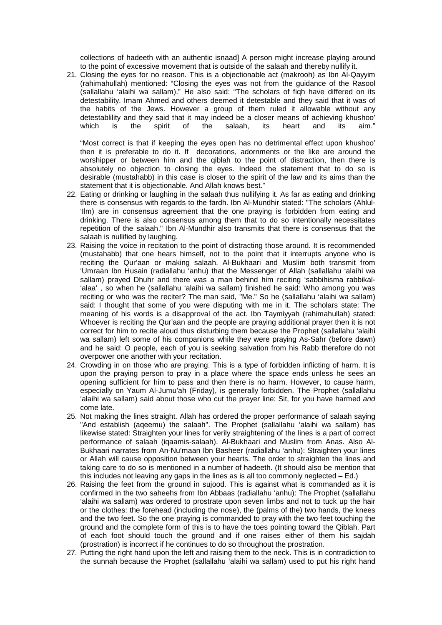collections of hadeeth with an authentic isnaad] A person might increase playing around to the point of excessive movement that is outside of the salaah and thereby nullify it.

21. Closing the eyes for no reason. This is a objectionable act (makrooh) as Ibn Al-Qayyim (rahimahullah) mentioned: "Closing the eyes was not from the guidance of the Rasool (sallallahu 'alaihi wa sallam)." He also said: "The scholars of fiqh have differed on its detestability. Imam Ahmed and others deemed it detestable and they said that it was of the habits of the Jews. However a group of them ruled it allowable without any detestablility and they said that it may indeed be a closer means of achieving khushoo'<br>which is the spirit of the salaah, its heart and its aim." which is the spirit of the salaah, its heart and its aim."

"Most correct is that if keeping the eyes open has no detrimental effect upon khushoo' then it is preferable to do it. If decorations, adornments or the like are around the worshipper or between him and the qiblah to the point of distraction, then there is absolutely no objection to closing the eyes. Indeed the statement that to do so is desirable (mustahabb) in this case is closer to the spirit of the law and its aims than the statement that it is objectionable. And Allah knows best."

- 22. Eating or drinking or laughing in the salaah thus nullifying it. As far as eating and drinking there is consensus with regards to the fardh. Ibn Al-Mundhir stated: "The scholars (Ahlul- 'Ilm) are in consensus agreement that the one praying is forbidden from eating and drinking. There is also consensus among them that to do so intentionally necessitates repetition of the salaah." Ibn Al-Mundhir also transmits that there is consensus that the salaah is nullified by laughing.
- 23. Raising the voice in recitation to the point of distracting those around. It is recommended (mustahabb) that one hears himself, not to the point that it interrupts anyone who is reciting the Qur'aan or making salaah. Al-Bukhaari and Muslim both transmit from 'Umraan Ibn Husain (radiallahu 'anhu) that the Messenger of Allah (sallallahu 'alaihi wa sallam) prayed Dhuhr and there was a man behind him reciting 'sabbihisma rabbikal-'alaa' , so when he (sallallahu 'alaihi wa sallam) finished he said: Who among you was reciting or who was the reciter? The man said, "Me." So he (sallallahu 'alaihi wa sallam) said: I thought that some of you were disputing with me in it. The scholars state: The meaning of his words is a disapproval of the act. Ibn Taymiyyah (rahimahullah) stated: Whoever is reciting the Qur'aan and the people are praying additional prayer then it is not correct for him to recite aloud thus disturbing them because the Prophet (sallallahu 'alaihi wa sallam) left some of his companions while they were praying As-Sahr (before dawn) and he said: O people, each of you is seeking salvation from his Rabb therefore do not overpower one another with your recitation.
- 24. Crowding in on those who are praying. This is a type of forbidden inflicting of harm. It is upon the praying person to pray in a place where the space ends unless he sees an opening sufficient for him to pass and then there is no harm. However, to cause harm, especially on Yaum Al-Jumu'ah (Friday), is generally forbidden. The Prophet (sallallahu 'alaihi wa sallam) said about those who cut the prayer line: Sit, for you have harmed and come late.
- 25. Not making the lines straight. Allah has ordered the proper performance of salaah saying "And establish (aqeemu) the salaah". The Prophet (sallallahu 'alaihi wa sallam) has likewise stated: Straighten your lines for verily straightening of the lines is a part of correct performance of salaah (iqaamis-salaah). Al-Bukhaari and Muslim from Anas. Also Al-Bukhaari narrates from An-Nu'maan Ibn Basheer (radiallahu 'anhu): Straighten your lines or Allah will cause opposition between your hearts. The order to straighten the lines and taking care to do so is mentioned in a number of hadeeth. (It should also be mention that this includes not leaving any gaps in the lines as is all too commonly neglected  $- Ed$ .)
- 26. Raising the feet from the ground in sujood. This is against what is commanded as it is confirmed in the two saheehs from Ibn Abbaas (radiallahu 'anhu): The Prophet (sallallahu 'alaihi wa sallam) was ordered to prostrate upon seven limbs and not to tuck up the hair or the clothes: the forehead (including the nose), the (palms of the) two hands, the knees and the two feet. So the one praying is commanded to pray with the two feet touching the ground and the complete form of this is to have the toes pointing toward the Qiblah. Part of each foot should touch the ground and if one raises either of them his sajdah (prostration) is incorrect if he continues to do so throughout the prostration.
- 27. Putting the right hand upon the left and raising them to the neck. This is in contradiction to the sunnah because the Prophet (sallallahu 'alaihi wa sallam) used to put his right hand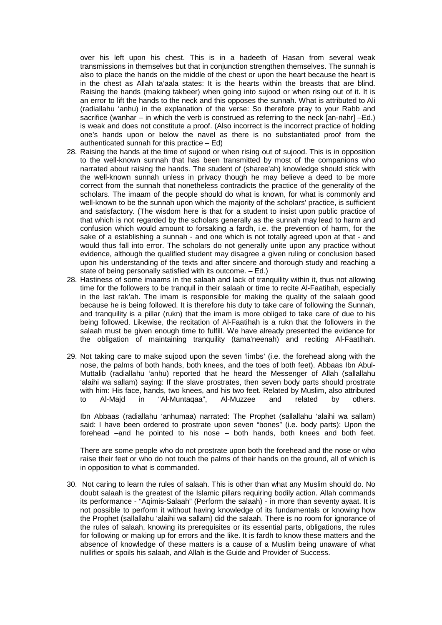over his left upon his chest. This is in a hadeeth of Hasan from several weak transmissions in themselves but that in conjunction strengthen themselves. The sunnah is also to place the hands on the middle of the chest or upon the heart because the heart is in the chest as Allah ta'aala states: It is the hearts within the breasts that are blind. Raising the hands (making takbeer) when going into sujood or when rising out of it. It is an error to lift the hands to the neck and this opposes the sunnah. What is attributed to Ali (radiallahu 'anhu) in the explanation of the verse: So therefore pray to your Rabb and sacrifice (wanhar – in which the verb is construed as referring to the neck [an-nahr] –Ed.) is weak and does not constitute a proof. (Also incorrect is the incorrect practice of holding one's hands upon or below the navel as there is no substantiated proof from the authenticated sunnah for this practice – Ed)

- 28. Raising the hands at the time of sujood or when rising out of sujood. This is in opposition to the well-known sunnah that has been transmitted by most of the companions who narrated about raising the hands. The student of (sharee'ah) knowledge should stick with the well-known sunnah unless in privacy though he may believe a deed to be more correct from the sunnah that nonetheless contradicts the practice of the generality of the scholars. The imaam of the people should do what is known, for what is commonly and well-known to be the sunnah upon which the majority of the scholars' practice, is sufficient and satisfactory. (The wisdom here is that for a student to insist upon public practice of that which is not regarded by the scholars generally as the sunnah may lead to harm and confusion which would amount to forsaking a fardh, i.e. the prevention of harm, for the sake of a establishing a sunnah - and one which is not totally agreed upon at that - and would thus fall into error. The scholars do not generally unite upon any practice without evidence, although the qualified student may disagree a given ruling or conclusion based upon his understanding of the texts and after sincere and thorough study and reaching a state of being personally satisfied with its outcome. – Ed.)
- 28. Hastiness of some imaams in the salaah and lack of tranquility within it, thus not allowing time for the followers to be tranquil in their salaah or time to recite Al-Faatihah, especially in the last rak'ah. The imam is responsible for making the quality of the salaah good because he is being followed. It is therefore his duty to take care of following the Sunnah, and tranquility is a pillar (rukn) that the imam is more obliged to take care of due to his being followed. Likewise, the recitation of Al-Faatihah is a rukn that the followers in the salaah must be given enough time to fulfill. We have already presented the evidence for the obligation of maintaining tranquility (tama'neenah) and reciting Al-Faatihah.
- 29. Not taking care to make sujood upon the seven 'limbs' (i.e. the forehead along with the nose, the palms of both hands, both knees, and the toes of both feet). Abbaas Ibn Abul-Muttalib (radiallahu 'anhu) reported that he heard the Messenger of Allah (sallallahu 'alaihi wa sallam) saying: If the slave prostrates, then seven body parts should prostrate with him: His face, hands, two knees, and his two feet. Related by Muslim, also attributed to Al-Majd in "Al-Muntaqaa", Al-Muzzee and related by others.

Ibn Abbaas (radiallahu 'anhumaa) narrated: The Prophet (sallallahu 'alaihi wa sallam) said: I have been ordered to prostrate upon seven "bones" (i.e. body parts): Upon the forehead –and he pointed to his nose – both hands, both knees and both feet.

There are some people who do not prostrate upon both the forehead and the nose or who raise their feet or who do not touch the palms of their hands on the ground, all of which is in opposition to what is commanded.

30. Not caring to learn the rules of salaah. This is other than what any Muslim should do. No doubt salaah is the greatest of the Islamic pillars requiring bodily action. Allah commands its performance - "Aqimis-Salaah" (Perform the salaah) - in more than seventy ayaat. It is not possible to perform it without having knowledge of its fundamentals or knowing how the Prophet (sallallahu 'alaihi wa sallam) did the salaah. There is no room for ignorance of the rules of salaah, knowing its prerequisites or its essential parts, obligations, the rules for following or making up for errors and the like. It is fardh to know these matters and the absence of knowledge of these matters is a cause of a Muslim being unaware of what nullifies or spoils his salaah, and Allah is the Guide and Provider of Success.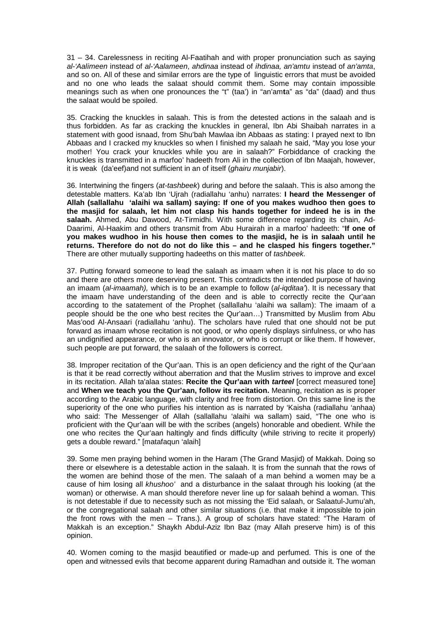31 – 34. Carelessness in reciting Al-Faatihah and with proper pronunciation such as saying al-'Aal**i**meen instead of al-'Aal**a**meen, **a**hdinaa instead of **i**hdinaa, an'amt**u** instead of an'amt**a**, and so on. All of these and similar errors are the type of linguistic errors that must be avoided and no one who leads the salaat should commit them. Some may contain impossible meanings such as when one pronounces the "t" (taa') in "an'am**t**a" as "da" (daad) and thus the salaat would be spoiled.

35. Cracking the knuckles in salaah. This is from the detested actions in the salaah and is thus forbidden. As far as cracking the knuckles in general, Ibn Abi Shaibah narrates in a statement with good isnaad, from Shu'bah Mawlaa ibn Abbaas as stating: I prayed next to Ibn Abbaas and I cracked my knuckles so when I finished my salaah he said, "May you lose your mother! You crack your knuckles while you are in salaah?" Forbiddance of cracking the knuckles is transmitted in a marfoo' hadeeth from Ali in the collection of Ibn Maajah, however, it is weak (da'eef)and not sufficient in an of itself (*ghairu muniabir*).

36. Intertwining the fingers (at-tashbeek) during and before the salaah. This is also among the detestable matters. Ka'ab Ibn 'Ujrah (radiallahu 'anhu) narrates: **I heard the Messenger of Allah (sallallahu 'alaihi wa sallam) saying: If one of you makes wudhoo then goes to the masjid for salaah, let him not clasp his hands together for indeed he is in the salaah.** Ahmed, Abu Dawood, At-Tirmidhi. With some difference regarding its chain, Ad-Daarimi, Al-Haakim and others transmit from Abu Hurairah in a marfoo' hadeeth: "**If one of you makes wudhoo in his house then comes to the masjid, he is in salaah until he returns. Therefore do not do not do like this – and he clasped his fingers together."** There are other mutually supporting hadeeths on this matter of tashbeek.

37. Putting forward someone to lead the salaah as imaam when it is not his place to do so and there are others more deserving present. This contradicts the intended purpose of having an imaam (al-imaamah), which is to be an example to follow (al-iqditaa). It is necessary that the imaam have understanding of the deen and is able to correctly recite the Qur'aan according to the satatement of the Prophet (sallallahu 'alaihi wa sallam): The imaam of a people should be the one who best recites the Qur'aan…) Transmitted by Muslim from Abu Mas'ood Al-Ansaari (radiallahu 'anhu). The scholars have ruled that one should not be put forward as imaam whose recitation is not good, or who openly displays sinfulness, or who has an undignified appearance, or who is an innovator, or who is corrupt or like them. If however, such people are put forward, the salaah of the followers is correct.

38. Improper recitation of the Qur'aan. This is an open deficiency and the right of the Qur'aan is that it be read correctly without aberration and that the Muslim strives to improve and excel in its recitation. Allah ta'alaa states: **Recite the Qur'aan with tarteel** [correct measured tone] and **When we teach you the Qur'aan, follow its recitation.** Meaning, recitation as is proper according to the Arabic language, with clarity and free from distortion. On this same line is the superiority of the one who purifies his intention as is narrated by 'Kaisha (radiallahu 'anhaa) who said: The Messenger of Allah (sallallahu 'alaihi wa sallam) said, "The one who is proficient with the Qur'aan will be with the scribes (angels) honorable and obedient. While the one who recites the Qur'aan haltingly and finds difficulty (while striving to recite it properly) gets a double reward." [matafaqun 'alaih]

39. Some men praying behind women in the Haram (The Grand Masjid) of Makkah. Doing so there or elsewhere is a detestable action in the salaah. It is from the sunnah that the rows of the women are behind those of the men. The salaah of a man behind a women may be a cause of him losing all khushoo' and a disturbance in the salaat through his looking (at the woman) or otherwise. A man should therefore never line up for salaah behind a woman. This is not detestable if due to necessity such as not missing the 'Eid salaah, or Salaatul-Jumu'ah, or the congregational salaah and other similar situations (i.e. that make it impossible to join the front rows with the men – Trans.). A group of scholars have stated: "The Haram of Makkah is an exception." Shaykh Abdul-Aziz Ibn Baz (may Allah preserve him) is of this opinion.

40. Women coming to the masjid beautified or made-up and perfumed. This is one of the open and witnessed evils that become apparent during Ramadhan and outside it. The woman